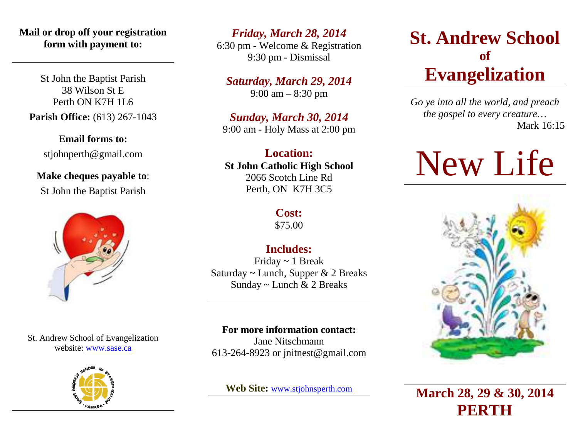**Mail or drop off your registration form with payment to:** 

St John the Baptist Parish 38 Wilson St E Perth ON K7H 1L6**Parish Office:** (613) 267-1043

> **Email forms to:** stjohnperth@gmail.com

### **Make cheques payable to**:St John the Baptist Parish



St. Andrew School of Evangelization website: <u>www.sase.ca</u>



*Friday, March 28, 2014*6:30 pm - Welcome & Registration

9:30 pm - Dismissal

*Saturday, March 29, 2014*9:00 am – 8:30 pm

*Sunday, March 30, 2014*9:00 am - Holy Mass at 2:00 pm

**Location: St John Catholic High School**2066 Scotch Line Rd Perth, ON K7H 3C5

#### **Cost:**

\$75.00

## **Includes:**

 Friday ~ 1 Break Saturday ~ Lunch, Supper & 2 Breaks Sunday ~ Lunch & 2 Breaks

#### **For more information contact:**

Jane Nitschmann 613-264-8923 or jnitnest@gmail.com

**Web Site:** www.stjohnsperth.com

# **St. Andrew SchoolofEvangelization**

*Go ye into all the world, and preach the gospel to every creature…*Mark 16:15

# New Life



**March 28, 29 & 30, 2014PERTH**